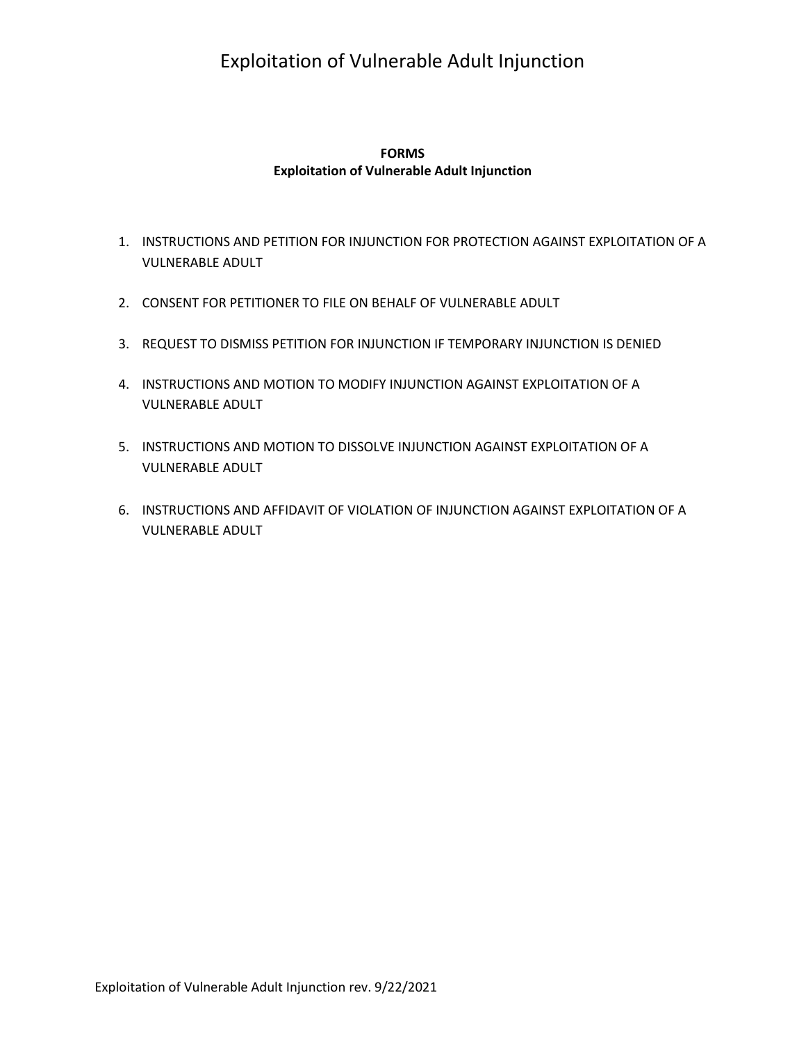# Exploitation of Vulnerable Adult Injunction

### **Exploitation of Vulnerable Adult Injunction FORMS**

- 1. INSTRUCTIONS AND PETITION FOR INJUNCTION FOR PROTECTION AGAINST EXPLOITATION OF A VULNERABLE ADULT
- 2. CONSENT FOR PETITIONER TO FILE ON BEHALF OF VULNERABLE ADULT
- 3. REQUEST TO DISMISS PETITION FOR INJUNCTION IF TEMPORARY INJUNCTION IS DENIED
- 4. INSTRUCTIONS AND MOTION TO MODIFY INJUNCTION AGAINST EXPLOITATION OF A VULNERABLE ADULT
- 5. INSTRUCTIONS AND MOTION TO DISSOLVE INJUNCTION AGAINST EXPLOITATION OF A VULNERABLE ADULT
- 6. INSTRUCTIONS AND AFFIDAVIT OF VIOLATION OF INJUNCTION AGAINST EXPLOITATION OF A VULNERABLE ADULT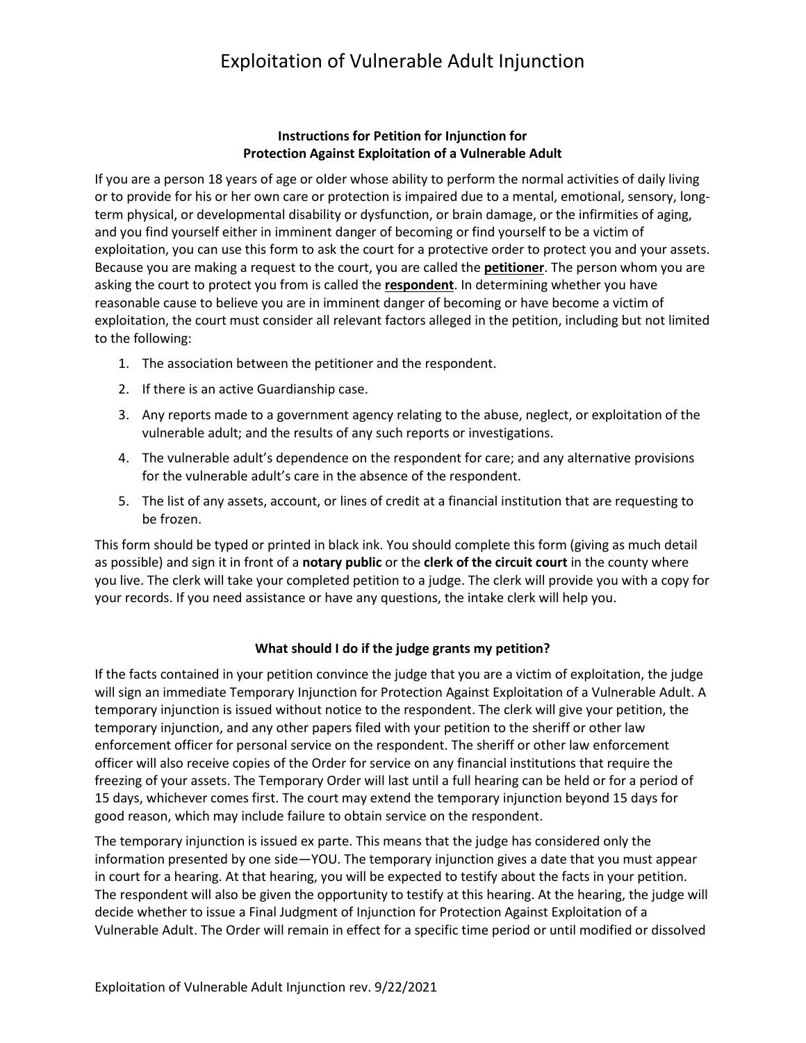# Exploitation of Vulnerable Adult Injunction

### **Instructions for Petition for Injunction for Protection Against Exploitation of a Vulnerable Adult**

 If you are a person 18 years of age or older whose ability to perform the normal activities of daily living and you find yourself either in imminent danger of becoming or find yourself to be a victim of Because you are making a request to the court, you are called the **petitioner**. The person whom you are asking the court to protect you from is called the **respondent**. In determining whether you have exploitation, the court must consider all relevant factors alleged in the petition, including but not limited or to provide for his or her own care or protection is impaired due to a mental, emotional, sensory, longterm physical, or developmental disability or dysfunction, or brain damage, or the infirmities of aging, exploitation, you can use this form to ask the court for a protective order to protect you and your assets. reasonable cause to believe you are in imminent danger of becoming or have become a victim of to the following:

- 1. The association between the petitioner and the respondent.
- 2. If there is an active Guardianship case.
- 3. Any reports made to a government agency relating to the abuse, neglect, or exploitation of the vulnerable adult; and the results of any such reports or investigations.
- 4. The vulnerable adult's dependence on the respondent for care; and any alternative provisions for the vulnerable adult's care in the absence of the respondent.
- 5. The list of any assets, account, or lines of credit at a financial institution that are requesting to be frozen.

 This form should be typed or printed in black ink. You should complete this form (giving as much detail  as possible) and sign it in front of a **notary public** or the **clerk of the circuit court** in the county where you live. The clerk will take your completed petition to a judge. The clerk will provide you with a copy for your records. If you need assistance or have any questions, the intake clerk will help you.

#### **What should I do if the judge grants my petition?**

 temporary injunction is issued without notice to the respondent. The clerk will give your petition, the 15 days, whichever comes first. The court may extend the temporary injunction beyond 15 days for If the facts contained in your petition convince the judge that you are a victim of exploitation, the judge will sign an immediate Temporary Injunction for Protection Against Exploitation of a Vulnerable Adult. A temporary injunction, and any other papers filed with your petition to the sheriff or other law enforcement officer for personal service on the respondent. The sheriff or other law enforcement officer will also receive copies of the Order for service on any financial institutions that require the freezing of your assets. The Temporary Order will last until a full hearing can be held or for a period of good reason, which may include failure to obtain service on the respondent.

 information presented by one side—YOU. The temporary injunction gives a date that you must appear in court for a hearing. At that hearing, you will be expected to testify about the facts in your petition. The respondent will also be given the opportunity to testify at this hearing. At the hearing, the judge will decide whether to issue a Final Judgment of Injunction for Protection Against Exploitation of a Vulnerable Adult. The Order will remain in effect for a specific time period or until modified or dissolved The temporary injunction is issued ex parte. This means that the judge has considered only the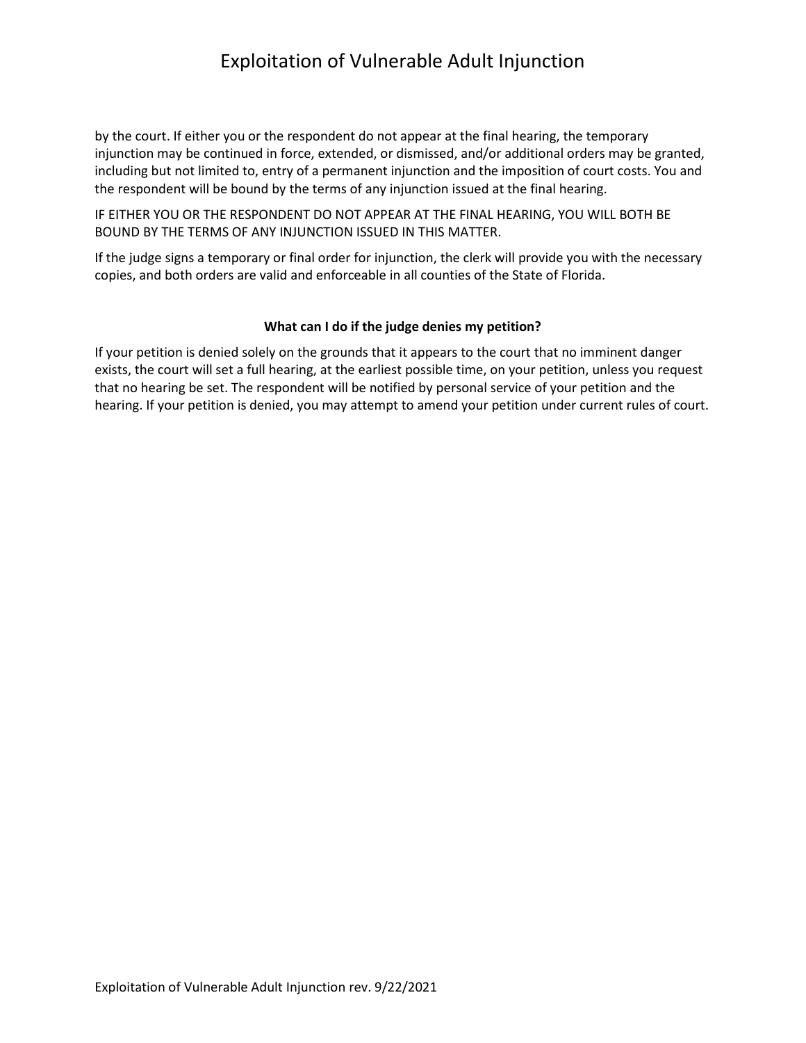# Exploitation of Vulnerable Adult Injunction

 by the court. If either you or the respondent do not appear at the final hearing, the temporary injunction may be continued in force, extended, or dismissed, and/or additional orders may be granted, including but not limited to, entry of a permanent injunction and the imposition of court costs. You and the respondent will be bound by the terms of any injunction issued at the final hearing.

IF EITHER YOU OR THE RESPONDENT DO NOT APPEAR AT THE FINAL HEARING, YOU WILL BOTH BE BOUND BY THE TERMS OF ANY INJUNCTION ISSUED IN THIS MATTER.

 If the judge signs a temporary or final order for injunction, the clerk will provide you with the necessary copies, and both orders are valid and enforceable in all counties of the State of Florida.

#### **What can I do if the judge denies my petition?**

 exists, the court will set a full hearing, at the earliest possible time, on your petition, unless you request hearing. If your petition is denied, you may attempt to amend your petition under current rules of court. If your petition is denied solely on the grounds that it appears to the court that no imminent danger that no hearing be set. The respondent will be notified by personal service of your petition and the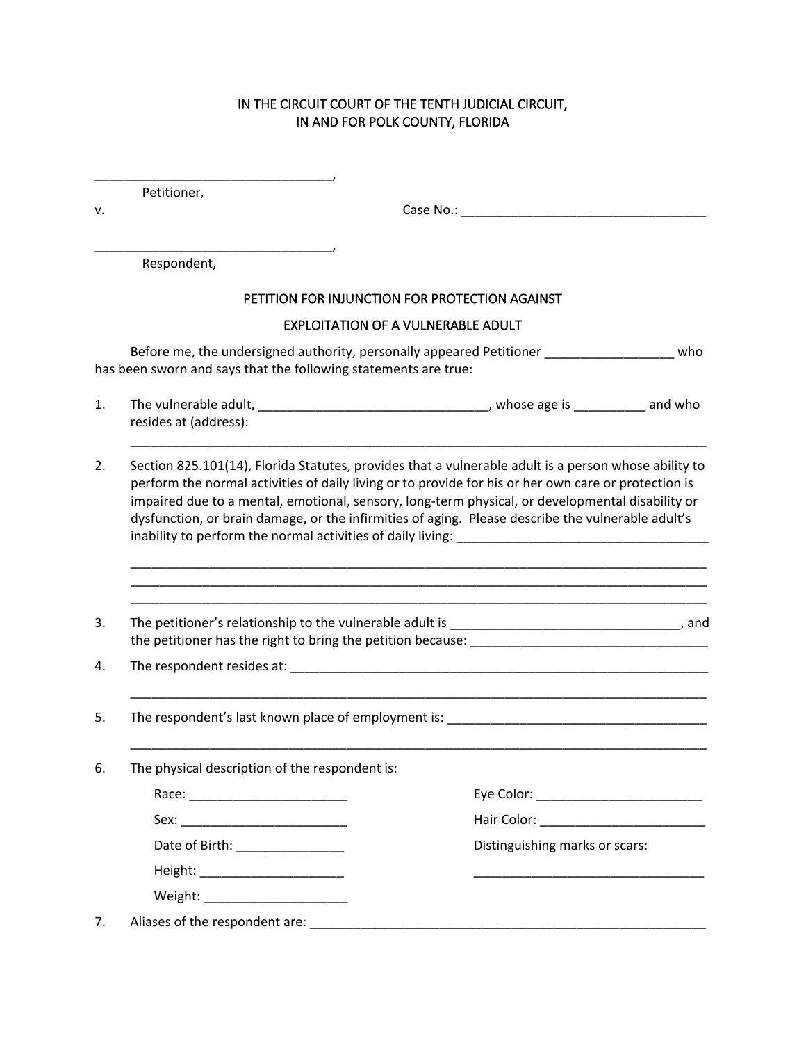#### IN THE CIRCUIT COURT OF THE TENTH JUDICIAL CIRCUIT, IN AND FOR POLK COUNTY, FLORIDA

Petitioner,

\_\_\_\_\_\_\_\_\_\_\_\_\_\_\_\_\_\_\_\_\_\_\_\_\_\_\_\_\_\_\_\_\_,

\_\_\_\_\_\_\_\_\_\_\_\_\_\_\_\_\_\_\_\_\_\_\_\_\_\_\_\_\_\_\_\_\_,

v. Case No.: \_\_\_\_\_\_\_\_\_\_\_\_\_\_\_\_\_\_\_\_\_\_\_\_\_\_\_\_\_\_\_\_\_\_

Respondent,

# PETITION FOR INJUNCTION FOR PROTECTION AGAINST

#### EXPLOITATION OF A VULNERABLE ADULT

Before me, the undersigned authority, personally appeared Petitioner \_\_\_\_\_\_\_\_\_\_\_\_\_\_\_\_\_\_\_ who has been sworn and says that the following statements are true:

1. The vulnerable adult, \_\_\_\_\_\_\_\_\_\_\_\_\_\_\_\_\_\_\_\_\_\_\_\_\_\_\_\_\_\_\_\_\_\_, whose age is \_\_\_\_\_\_\_\_\_\_ and who resides at (address):

\_\_\_\_\_\_\_\_\_\_\_\_\_\_\_\_\_\_\_\_\_\_\_\_\_\_\_\_\_\_\_\_\_\_\_\_\_\_\_\_\_\_\_\_\_\_\_\_\_\_\_\_\_\_\_\_\_\_\_\_\_\_\_\_\_\_\_\_\_\_\_\_\_\_\_\_\_\_\_\_

\_\_\_\_\_\_\_\_\_\_\_\_\_\_\_\_\_\_\_\_\_\_\_\_\_\_\_\_\_\_\_\_\_\_\_\_\_\_\_\_\_\_\_\_\_\_\_\_\_\_\_\_\_\_\_\_\_\_\_\_\_\_\_\_\_\_\_\_\_\_\_\_\_\_\_\_\_\_\_\_ \_\_\_\_\_\_\_\_\_\_\_\_\_\_\_\_\_\_\_\_\_\_\_\_\_\_\_\_\_\_\_\_\_\_\_\_\_\_\_\_\_\_\_\_\_\_\_\_\_\_\_\_\_\_\_\_\_\_\_\_\_\_\_\_\_\_\_\_\_\_\_\_\_\_\_\_\_\_\_\_ \_\_\_\_\_\_\_\_\_\_\_\_\_\_\_\_\_\_\_\_\_\_\_\_\_\_\_\_\_\_\_\_\_\_\_\_\_\_\_\_\_\_\_\_\_\_\_\_\_\_\_\_\_\_\_\_\_\_\_\_\_\_\_\_\_\_\_\_\_\_\_\_\_\_\_\_\_\_\_\_

\_\_\_\_\_\_\_\_\_\_\_\_\_\_\_\_\_\_\_\_\_\_\_\_\_\_\_\_\_\_\_\_\_\_\_\_\_\_\_\_\_\_\_\_\_\_\_\_\_\_\_\_\_\_\_\_\_\_\_\_\_\_\_\_\_\_\_\_\_\_\_\_\_\_\_\_\_\_\_\_

\_\_\_\_\_\_\_\_\_\_\_\_\_\_\_\_\_\_\_\_\_\_\_\_\_\_\_\_\_\_\_\_\_\_\_\_\_\_\_\_\_\_\_\_\_\_\_\_\_\_\_\_\_\_\_\_\_\_\_\_\_\_\_\_\_\_\_\_\_\_\_\_\_\_\_\_\_\_\_\_

2. Section 825.101(14), Florida Statutes, provides that a vulnerable adult is a person whose ability to perform the normal activities of daily living or to provide for his or her own care or protection is impaired due to a mental, emotional, sensory, long-term physical, or developmental disability or dysfunction, or brain damage, or the infirmities of aging. Please describe the vulnerable adult's inability to perform the normal activities of daily living:

3. The petitioner's relationship to the vulnerable adult is \_\_\_\_\_\_\_\_\_\_\_\_\_\_\_\_\_\_\_\_\_\_\_\_\_\_\_\_\_\_\_\_\_, and the petitioner has the right to bring the petition because: \_\_\_\_\_\_\_\_\_\_\_\_\_\_\_\_\_\_\_\_\_\_\_\_\_\_\_\_\_\_\_\_\_

4. The respondent resides at: \_\_\_\_\_\_\_\_\_\_\_\_\_\_\_\_\_\_\_\_\_\_\_\_\_\_\_\_\_\_\_\_\_\_\_\_\_\_\_\_\_\_\_\_\_\_\_\_\_\_\_\_\_\_\_\_\_\_

- 5. The respondent's last known place of employment is:
- 6. The physical description of the respondent is:

|         |                                           | Eye Color: ____________________________ |  |
|---------|-------------------------------------------|-----------------------------------------|--|
|         |                                           |                                         |  |
|         | Date of Birth: _______________            | Distinguishing marks or scars:          |  |
|         | Height: __________________________        |                                         |  |
| Weight: | <u> 1980 - Jan Barbara, manazarta da </u> |                                         |  |
|         |                                           |                                         |  |

7. Aliases of the respondent are: \_\_\_\_\_\_\_\_\_\_\_\_\_\_\_\_\_\_\_\_\_\_\_\_\_\_\_\_\_\_\_\_\_\_\_\_\_\_\_\_\_\_\_\_\_\_\_\_\_\_\_\_\_\_\_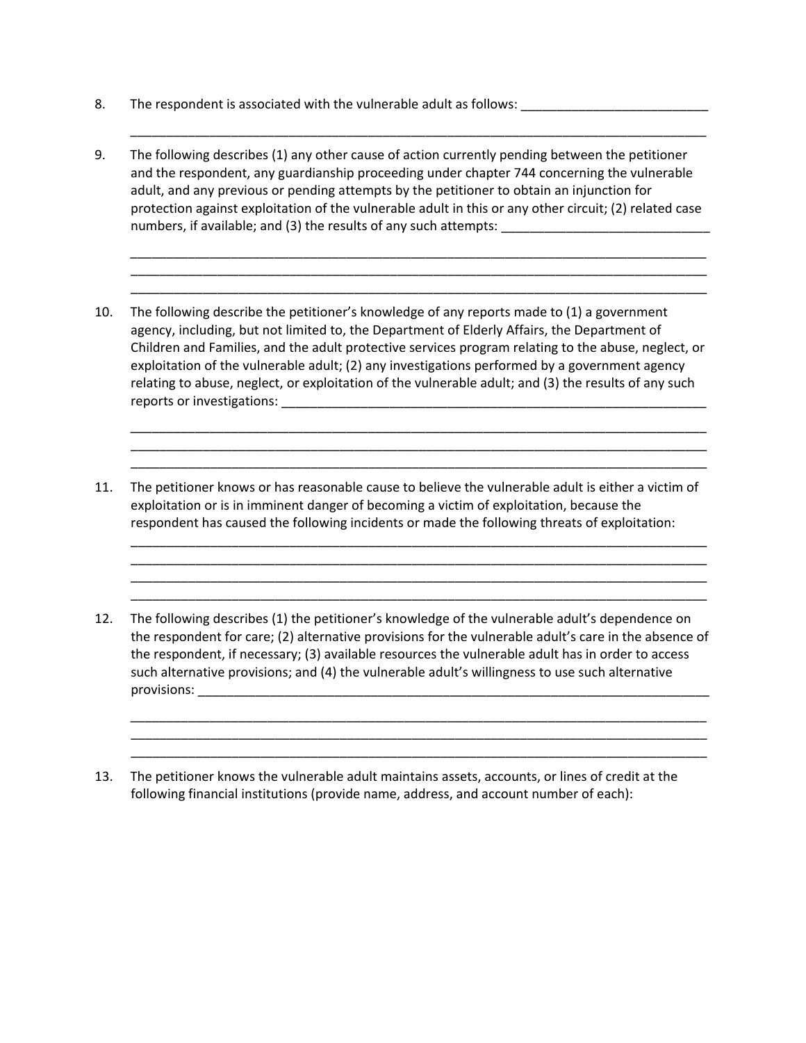- 8. The respondent is associated with the vulnerable adult as follows:
- 9. The following describes (1) any other cause of action currently pending between the petitioner and the respondent, any guardianship proceeding under chapter 744 concerning the vulnerable adult, and any previous or pending attempts by the petitioner to obtain an injunction for protection against exploitation of the vulnerable adult in this or any other circuit; (2) related case numbers, if available; and (3) the results of any such attempts: \_\_\_\_\_\_\_\_\_\_\_\_\_\_\_\_\_\_\_\_\_\_\_\_\_\_\_\_\_\_\_\_\_\_\_

\_\_\_\_\_\_\_\_\_\_\_\_\_\_\_\_\_\_\_\_\_\_\_\_\_\_\_\_\_\_\_\_\_\_\_\_\_\_\_\_\_\_\_\_\_\_\_\_\_\_\_\_\_\_\_\_\_\_\_\_\_\_\_\_\_\_\_\_\_\_\_\_\_\_\_\_\_\_\_\_

\_\_\_\_\_\_\_\_\_\_\_\_\_\_\_\_\_\_\_\_\_\_\_\_\_\_\_\_\_\_\_\_\_\_\_\_\_\_\_\_\_\_\_\_\_\_\_\_\_\_\_\_\_\_\_\_\_\_\_\_\_\_\_\_\_\_\_\_\_\_\_\_\_\_\_\_\_\_\_\_ \_\_\_\_\_\_\_\_\_\_\_\_\_\_\_\_\_\_\_\_\_\_\_\_\_\_\_\_\_\_\_\_\_\_\_\_\_\_\_\_\_\_\_\_\_\_\_\_\_\_\_\_\_\_\_\_\_\_\_\_\_\_\_\_\_\_\_\_\_\_\_\_\_\_\_\_\_\_\_\_ \_\_\_\_\_\_\_\_\_\_\_\_\_\_\_\_\_\_\_\_\_\_\_\_\_\_\_\_\_\_\_\_\_\_\_\_\_\_\_\_\_\_\_\_\_\_\_\_\_\_\_\_\_\_\_\_\_\_\_\_\_\_\_\_\_\_\_\_\_\_\_\_\_\_\_\_\_\_\_\_

10. The following describe the petitioner's knowledge of any reports made to (1) a government agency, including, but not limited to, the Department of Elderly Affairs, the Department of Children and Families, and the adult protective services program relating to the abuse, neglect, or exploitation of the vulnerable adult; (2) any investigations performed by a government agency relating to abuse, neglect, or exploitation of the vulnerable adult; and (3) the results of any such reports or investigations: \_\_\_\_\_\_\_\_\_\_\_\_\_\_\_\_\_\_\_\_\_\_\_\_\_\_\_\_\_\_\_\_\_\_\_\_\_\_\_\_\_\_\_\_\_\_\_\_\_\_\_\_\_\_\_\_\_\_\_

\_\_\_\_\_\_\_\_\_\_\_\_\_\_\_\_\_\_\_\_\_\_\_\_\_\_\_\_\_\_\_\_\_\_\_\_\_\_\_\_\_\_\_\_\_\_\_\_\_\_\_\_\_\_\_\_\_\_\_\_\_\_\_\_\_\_\_\_\_\_\_\_\_\_\_\_\_\_\_\_ \_\_\_\_\_\_\_\_\_\_\_\_\_\_\_\_\_\_\_\_\_\_\_\_\_\_\_\_\_\_\_\_\_\_\_\_\_\_\_\_\_\_\_\_\_\_\_\_\_\_\_\_\_\_\_\_\_\_\_\_\_\_\_\_\_\_\_\_\_\_\_\_\_\_\_\_\_\_\_\_ \_\_\_\_\_\_\_\_\_\_\_\_\_\_\_\_\_\_\_\_\_\_\_\_\_\_\_\_\_\_\_\_\_\_\_\_\_\_\_\_\_\_\_\_\_\_\_\_\_\_\_\_\_\_\_\_\_\_\_\_\_\_\_\_\_\_\_\_\_\_\_\_\_\_\_\_\_\_\_\_

\_\_\_\_\_\_\_\_\_\_\_\_\_\_\_\_\_\_\_\_\_\_\_\_\_\_\_\_\_\_\_\_\_\_\_\_\_\_\_\_\_\_\_\_\_\_\_\_\_\_\_\_\_\_\_\_\_\_\_\_\_\_\_\_\_\_\_\_\_\_\_\_\_\_\_\_\_\_\_\_ \_\_\_\_\_\_\_\_\_\_\_\_\_\_\_\_\_\_\_\_\_\_\_\_\_\_\_\_\_\_\_\_\_\_\_\_\_\_\_\_\_\_\_\_\_\_\_\_\_\_\_\_\_\_\_\_\_\_\_\_\_\_\_\_\_\_\_\_\_\_\_\_\_\_\_\_\_\_\_\_ \_\_\_\_\_\_\_\_\_\_\_\_\_\_\_\_\_\_\_\_\_\_\_\_\_\_\_\_\_\_\_\_\_\_\_\_\_\_\_\_\_\_\_\_\_\_\_\_\_\_\_\_\_\_\_\_\_\_\_\_\_\_\_\_\_\_\_\_\_\_\_\_\_\_\_\_\_\_\_\_ \_\_\_\_\_\_\_\_\_\_\_\_\_\_\_\_\_\_\_\_\_\_\_\_\_\_\_\_\_\_\_\_\_\_\_\_\_\_\_\_\_\_\_\_\_\_\_\_\_\_\_\_\_\_\_\_\_\_\_\_\_\_\_\_\_\_\_\_\_\_\_\_\_\_\_\_\_\_\_\_

- 11. The petitioner knows or has reasonable cause to believe the vulnerable adult is either a victim of exploitation or is in imminent danger of becoming a victim of exploitation, because the respondent has caused the following incidents or made the following threats of exploitation:
- 12. The following describes (1) the petitioner's knowledge of the vulnerable adult's dependence on the respondent for care; (2) alternative provisions for the vulnerable adult's care in the absence of the respondent, if necessary; (3) available resources the vulnerable adult has in order to access such alternative provisions; and (4) the vulnerable adult's willingness to use such alternative  $provisions:$

\_\_\_\_\_\_\_\_\_\_\_\_\_\_\_\_\_\_\_\_\_\_\_\_\_\_\_\_\_\_\_\_\_\_\_\_\_\_\_\_\_\_\_\_\_\_\_\_\_\_\_\_\_\_\_\_\_\_\_\_\_\_\_\_\_\_\_\_\_\_\_\_\_\_\_\_\_\_\_\_ \_\_\_\_\_\_\_\_\_\_\_\_\_\_\_\_\_\_\_\_\_\_\_\_\_\_\_\_\_\_\_\_\_\_\_\_\_\_\_\_\_\_\_\_\_\_\_\_\_\_\_\_\_\_\_\_\_\_\_\_\_\_\_\_\_\_\_\_\_\_\_\_\_\_\_\_\_\_\_\_ \_\_\_\_\_\_\_\_\_\_\_\_\_\_\_\_\_\_\_\_\_\_\_\_\_\_\_\_\_\_\_\_\_\_\_\_\_\_\_\_\_\_\_\_\_\_\_\_\_\_\_\_\_\_\_\_\_\_\_\_\_\_\_\_\_\_\_\_\_\_\_\_\_\_\_\_\_\_\_\_

13. The petitioner knows the vulnerable adult maintains assets, accounts, or lines of credit at the following financial institutions (provide name, address, and account number of each):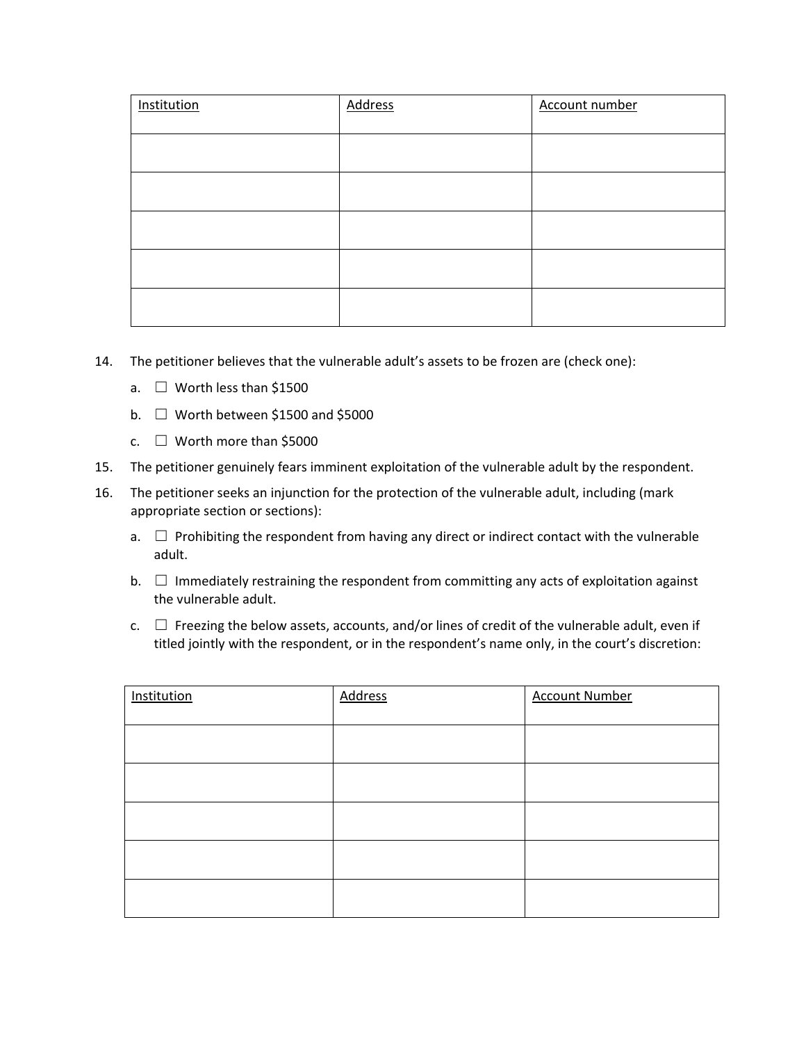| Institution | <b>Address</b> | Account number |
|-------------|----------------|----------------|
|             |                |                |
|             |                |                |
|             |                |                |
|             |                |                |
|             |                |                |
|             |                |                |

- 14. The petitioner believes that the vulnerable adult's assets to be frozen are (check one):
	- a. ☐ Worth less than \$1500
	- b.  $\Box$  Worth between \$1500 and \$5000
	- c.  $\Box$  Worth more than \$5000
- 15. The petitioner genuinely fears imminent exploitation of the vulnerable adult by the respondent.
- 16. The petitioner seeks an injunction for the protection of the vulnerable adult, including (mark appropriate section or sections):
	- a.  $\Box$  Prohibiting the respondent from having any direct or indirect contact with the vulnerable adult.
	- b.  $\Box$  Immediately restraining the respondent from committing any acts of exploitation against the vulnerable adult.
	- $c.$   $\Box$  Freezing the below assets, accounts, and/or lines of credit of the vulnerable adult, even if titled jointly with the respondent, or in the respondent's name only, in the court's discretion:

| Institution | <b>Address</b> | <b>Account Number</b> |
|-------------|----------------|-----------------------|
|             |                |                       |
|             |                |                       |
|             |                |                       |
|             |                |                       |
|             |                |                       |
|             |                |                       |
|             |                |                       |
|             |                |                       |
|             |                |                       |
|             |                |                       |
|             |                |                       |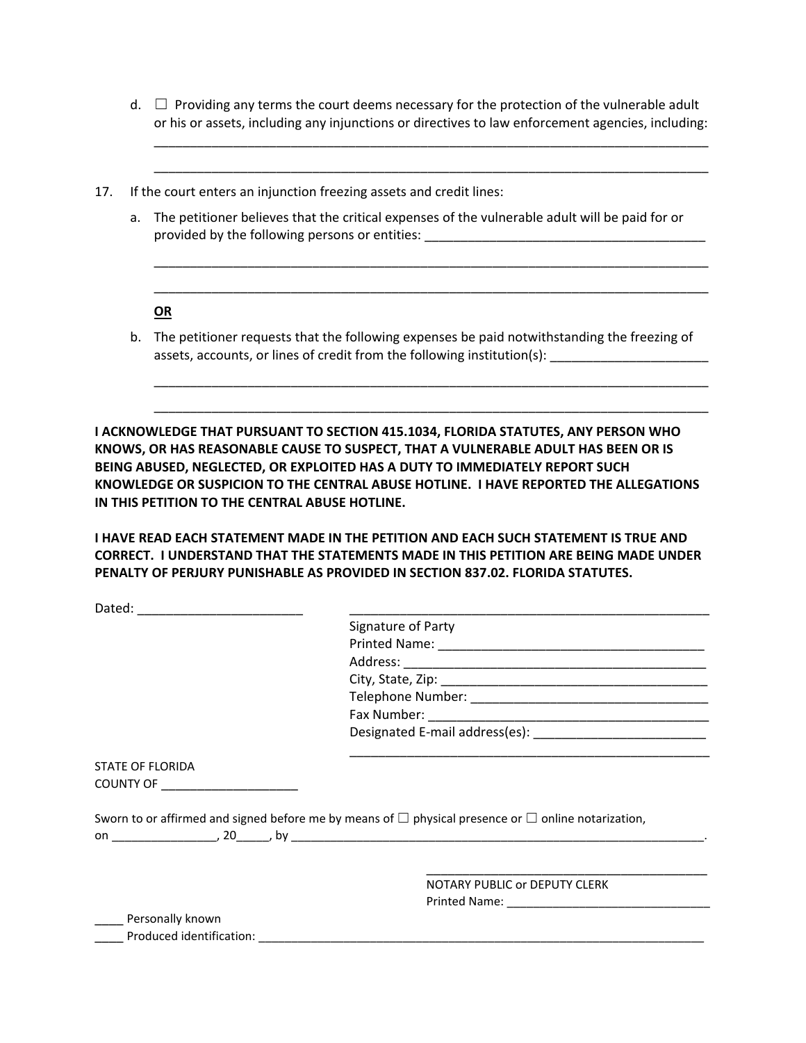$d. \Box$  Providing any terms the court deems necessary for the protection of the vulnerable adult or his or assets, including any injunctions or directives to law enforcement agencies, including:

\_\_\_\_\_\_\_\_\_\_\_\_\_\_\_\_\_\_\_\_\_\_\_\_\_\_\_\_\_\_\_\_\_\_\_\_\_\_\_\_\_\_\_\_\_\_\_\_\_\_\_\_\_\_\_\_\_\_\_\_\_\_\_\_\_\_\_\_\_\_\_\_\_\_\_\_\_

- 17. If the court enters an injunction freezing assets and credit lines:
	- a. The petitioner believes that the critical expenses of the vulnerable adult will be paid for or provided by the following persons or entities: \_\_\_\_\_\_\_\_\_\_\_\_\_\_\_\_\_\_\_\_\_\_\_\_\_\_\_\_\_\_\_\_\_

 \_\_\_\_\_\_\_\_\_\_\_\_\_\_\_\_\_\_\_\_\_\_\_\_\_\_\_\_\_\_\_\_\_\_\_\_\_\_\_\_\_\_\_\_\_\_\_\_\_\_\_\_\_\_\_\_\_\_\_\_\_\_\_\_\_\_\_\_\_\_\_\_\_\_\_\_\_ \_\_\_\_\_\_\_\_\_\_\_\_\_\_\_\_\_\_\_\_\_\_\_\_\_\_\_\_\_\_\_\_\_\_\_\_\_\_\_\_\_\_\_\_\_\_\_\_\_\_\_\_\_\_\_\_\_\_\_\_\_\_\_\_\_\_\_\_\_\_\_\_\_\_\_\_\_

\_\_\_\_\_\_\_\_\_\_\_\_\_\_\_\_\_\_\_\_\_\_\_\_\_\_\_\_\_\_\_\_\_\_\_\_\_\_\_\_\_\_\_\_\_\_\_\_\_\_\_\_\_\_\_\_\_\_\_\_\_\_\_\_\_\_\_\_\_\_\_\_\_\_\_\_\_

## **OR**

b. The petitioner requests that the following expenses be paid notwithstanding the freezing of assets, accounts, or lines of credit from the following institution(s):

 \_\_\_\_\_\_\_\_\_\_\_\_\_\_\_\_\_\_\_\_\_\_\_\_\_\_\_\_\_\_\_\_\_\_\_\_\_\_\_\_\_\_\_\_\_\_\_\_\_\_\_\_\_\_\_\_\_\_\_\_\_\_\_\_\_\_\_\_\_\_\_\_\_\_\_\_\_ \_\_\_\_\_\_\_\_\_\_\_\_\_\_\_\_\_\_\_\_\_\_\_\_\_\_\_\_\_\_\_\_\_\_\_\_\_\_\_\_\_\_\_\_\_\_\_\_\_\_\_\_\_\_\_\_\_\_\_\_\_\_\_\_\_\_\_\_\_\_\_\_\_\_\_\_\_

**I ACKNOWLEDGE THAT PURSUANT TO SECTION 415.1034, FLORIDA STATUTES, ANY PERSON WHO KNOWS, OR HAS REASONABLE CAUSE TO SUSPECT, THAT A VULNERABLE ADULT HAS BEEN OR IS BEING ABUSED, NEGLECTED, OR EXPLOITED HAS A DUTY TO IMMEDIATELY REPORT SUCH KNOWLEDGE OR SUSPICION TO THE CENTRAL ABUSE HOTLINE. I HAVE REPORTED THE ALLEGATIONS IN THIS PETITION TO THE CENTRAL ABUSE HOTLINE.**

**I HAVE READ EACH STATEMENT MADE IN THE PETITION AND EACH SUCH STATEMENT IS TRUE AND CORRECT. I UNDERSTAND THAT THE STATEMENTS MADE IN THIS PETITION ARE BEING MADE UNDER PENALTY OF PERJURY PUNISHABLE AS PROVIDED IN SECTION 837.02. FLORIDA STATUTES.**

| Dated:                  |                                                                                                                                                                                             |
|-------------------------|---------------------------------------------------------------------------------------------------------------------------------------------------------------------------------------------|
|                         | Signature of Party                                                                                                                                                                          |
|                         |                                                                                                                                                                                             |
|                         |                                                                                                                                                                                             |
|                         |                                                                                                                                                                                             |
|                         |                                                                                                                                                                                             |
|                         |                                                                                                                                                                                             |
|                         | Designated E-mail address(es): National Assembly Designated E-mail address(es):                                                                                                             |
| <b>STATE OF FLORIDA</b> |                                                                                                                                                                                             |
| COUNTY OF THE COUNTY OF |                                                                                                                                                                                             |
| bv .                    | Sworn to or affirmed and signed before me by means of $\square$ physical presence or $\square$ online notarization,<br><u> 1980 - Andrea Andrewski, politik američki profesor (d. 1980)</u> |

\_\_\_\_\_\_\_\_\_\_\_\_\_\_\_\_\_\_\_\_\_\_\_\_\_\_\_\_\_\_\_\_\_\_\_\_\_\_\_

 NOTARY PUBLIC or DEPUTY CLERK Printed Name: \_\_\_\_\_\_\_\_\_\_\_\_\_\_\_\_\_\_\_\_\_\_\_\_\_\_\_\_\_\_\_

Personally known

Produced identification: **Example 20**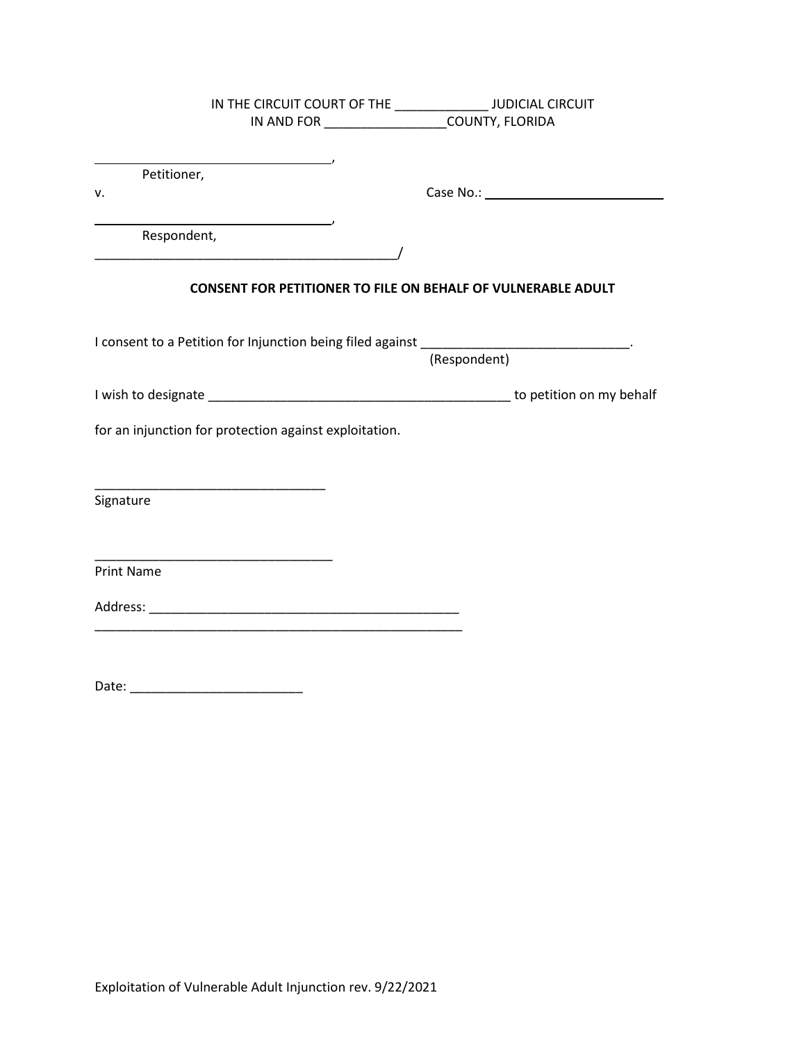|                                                                                                | IN THE CIRCUIT COURT OF THE ________________ JUDICIAL CIRCUIT                                                         |              |  |
|------------------------------------------------------------------------------------------------|-----------------------------------------------------------------------------------------------------------------------|--------------|--|
|                                                                                                | IN AND FOR _____________________COUNTY, FLORIDA                                                                       |              |  |
|                                                                                                |                                                                                                                       |              |  |
| Petitioner,                                                                                    | <u> 1980 - Johann Barbara, martxa a</u>                                                                               |              |  |
| v.                                                                                             |                                                                                                                       |              |  |
|                                                                                                | <u> 1980 - Johann Barbara, martxa alemaniar a</u>                                                                     |              |  |
| Respondent,                                                                                    |                                                                                                                       |              |  |
|                                                                                                |                                                                                                                       |              |  |
|                                                                                                | <b>CONSENT FOR PETITIONER TO FILE ON BEHALF OF VULNERABLE ADULT</b>                                                   |              |  |
|                                                                                                |                                                                                                                       |              |  |
|                                                                                                |                                                                                                                       |              |  |
| I consent to a Petition for Injunction being filed against __________________________________. |                                                                                                                       | (Respondent) |  |
|                                                                                                |                                                                                                                       |              |  |
|                                                                                                |                                                                                                                       |              |  |
| for an injunction for protection against exploitation.                                         |                                                                                                                       |              |  |
|                                                                                                |                                                                                                                       |              |  |
|                                                                                                |                                                                                                                       |              |  |
|                                                                                                |                                                                                                                       |              |  |
| Signature                                                                                      |                                                                                                                       |              |  |
|                                                                                                |                                                                                                                       |              |  |
| <u> 1989 - Johann John Stone, mars et al. (</u>                                                |                                                                                                                       |              |  |
| <b>Print Name</b>                                                                              |                                                                                                                       |              |  |
|                                                                                                |                                                                                                                       |              |  |
|                                                                                                | <u> 1989 - Jan Barbara, margaret amerikan bahasa dalam bahasa dalam bahasa dalam bahasa dalam bahasa dalam bahasa</u> |              |  |
|                                                                                                |                                                                                                                       |              |  |
|                                                                                                |                                                                                                                       |              |  |
|                                                                                                |                                                                                                                       |              |  |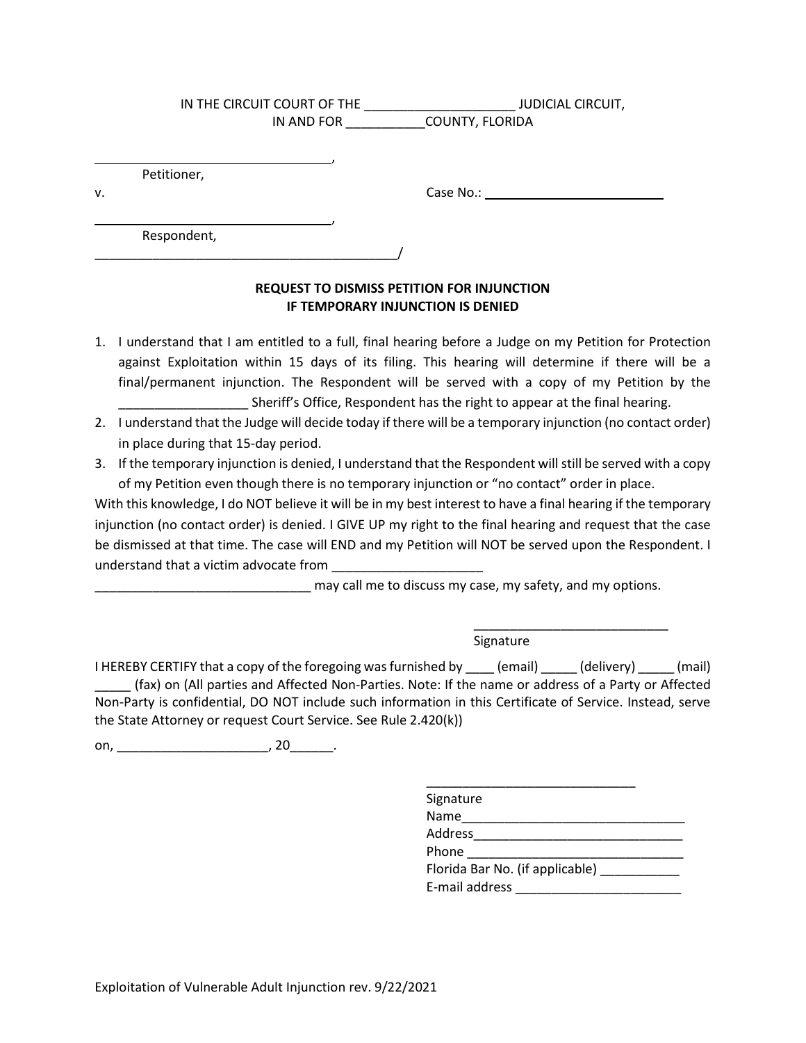|             | IN THE CIRCUIT COURT OF THE | JUDICIAL CIRCUIT, |
|-------------|-----------------------------|-------------------|
|             | IN AND FOR                  | COUNTY, FLORIDA   |
|             |                             |                   |
|             |                             |                   |
| Petitioner. |                             |                   |

,

v. Case No.:

Respondent,

\_\_\_\_\_\_\_\_\_\_\_\_\_\_\_\_\_\_\_\_\_\_\_\_\_\_\_\_\_\_\_\_\_\_\_\_\_\_\_\_\_\_/

# **REQUEST TO DISMISS PETITION FOR INJUNCTION IF TEMPORARY INJUNCTION IS DENIED**

- 1. I understand that I am entitled to a full, final hearing before a Judge on my Petition for Protection final/permanent injunction. The Respondent will be served with a copy of my Petition by the against Exploitation within 15 days of its filing. This hearing will determine if there will be a Sheriff's Office, Respondent has the right to appear at the final hearing.
- 2. I understand that the Judge will decide today if there will be a temporary injunction (no contact order) in place during that 15-day period.
- of my Petition even though there is no temporary injunction or "no contact" order in place. 3. If the temporary injunction is denied, I understand that the Respondent will still be served with a copy

 be dismissed at that time. The case will END and my Petition will NOT be served upon the Respondent. I With this knowledge, I do NOT believe it will be in my best interest to have a final hearing if the temporary injunction (no contact order) is denied. I GIVE UP my right to the final hearing and request that the case understand that a victim advocate from

\_\_\_\_\_\_\_\_\_\_\_\_\_\_\_\_\_\_\_\_\_\_\_\_\_\_\_\_\_\_ may call me to discuss my case, my safety, and my options.

Signature

 \_\_\_\_\_ (fax) on (All parties and Affected Non-Parties. Note: If the name or address of a Party or Affected Non-Party is confidential, DO NOT include such information in this Certificate of Service. Instead, serve the State Attorney or request Court Service. See Rule 2.420(k))<br>on, \_\_\_\_\_\_\_\_\_\_\_\_\_\_\_\_\_\_\_\_\_\_\_, 20\_\_\_\_\_\_\_. I HEREBY CERTIFY that a copy of the foregoing was furnished by \_\_\_\_ (email) \_\_\_\_\_ (delivery) \_\_\_\_\_ (mail)

| Signature                          |  |
|------------------------------------|--|
| Name                               |  |
| Address                            |  |
| Phone                              |  |
| Florida Bar No. (if applicable) __ |  |
| E-mail address                     |  |

\_\_\_\_\_\_\_\_\_\_\_\_\_\_\_\_\_\_\_\_\_\_\_\_\_\_\_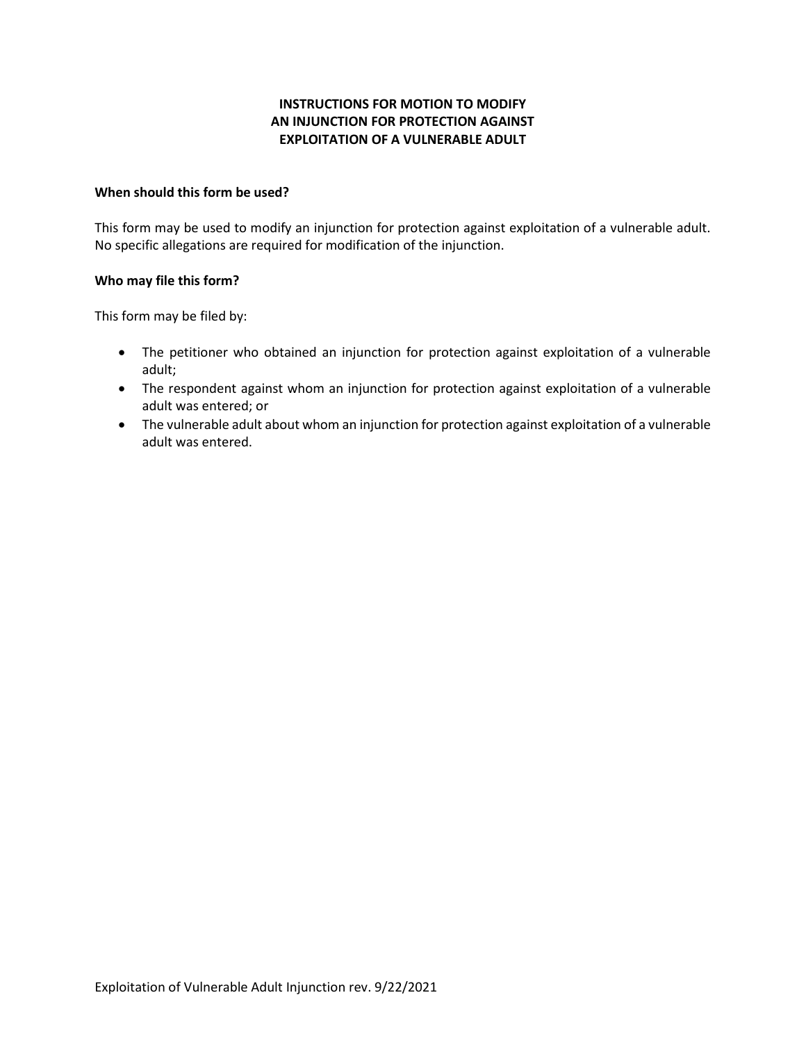# **INSTRUCTIONS FOR MOTION TO MODIFY EXPLOITATION OF A VULNERABLE ADULT AN INJUNCTION FOR PROTECTION AGAINST**

### **When should this form be used?**

 This form may be used to modify an injunction for protection against exploitation of a vulnerable adult. No specific allegations are required for modification of the injunction.

# **Who may file this form?**

This form may be filed by:

- • The petitioner who obtained an injunction for protection against exploitation of a vulnerable adult;
- The respondent against whom an injunction for protection against exploitation of a vulnerable adult was entered; or
- • The vulnerable adult about whom an injunction for protection against exploitation of a vulnerable adult was entered.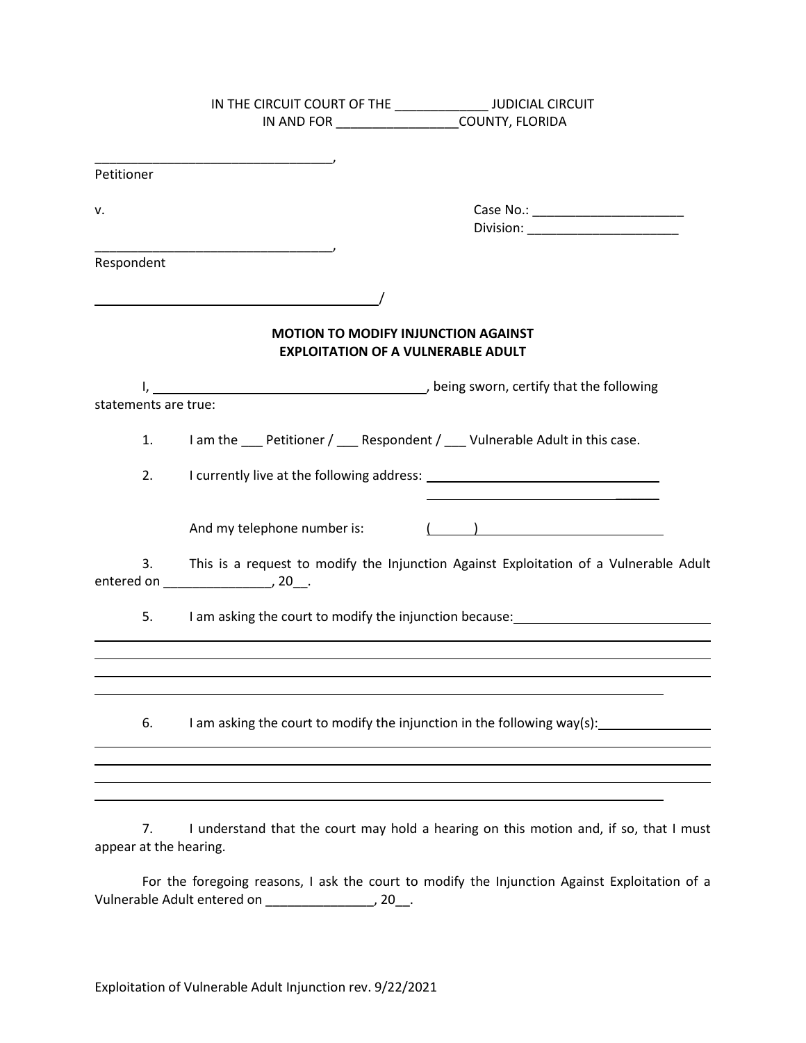|                      | IN THE CIRCUIT COURT OF THE _________________ JUDICIAL CIRCUIT                          |
|----------------------|-----------------------------------------------------------------------------------------|
|                      | IN AND FOR ___________________COUNTY, FLORIDA                                           |
|                      | <u> 1989 - Johann John Stone, mars et al. (</u>                                         |
| Petitioner           |                                                                                         |
| ٧.                   |                                                                                         |
|                      |                                                                                         |
| Respondent           |                                                                                         |
|                      |                                                                                         |
|                      | <b>MOTION TO MODIFY INJUNCTION AGAINST</b><br><b>EXPLOITATION OF A VULNERABLE ADULT</b> |
|                      |                                                                                         |
| statements are true: |                                                                                         |
| 1.                   | I am the Petitioner / Respondent / Vulnerable Adult in this case.                       |
| 2.                   |                                                                                         |
|                      | $\left(\begin{array}{cc} 0 & 0 \end{array}\right)$<br>And my telephone number is:       |
| 3.                   | This is a request to modify the Injunction Against Exploitation of a Vulnerable Adult   |
| 5.                   |                                                                                         |
|                      |                                                                                         |
|                      |                                                                                         |
| 6.                   | I am asking the court to modify the injunction in the following way(s):                 |
|                      |                                                                                         |
|                      |                                                                                         |

7. I understand that the court may hold a hearing on this motion and, if so, that I must appear at the hearing.

 For the foregoing reasons, I ask the court to modify the Injunction Against Exploitation of a Vulnerable Adult entered on \_\_\_\_\_\_\_\_\_\_\_\_\_\_\_, 20\_\_.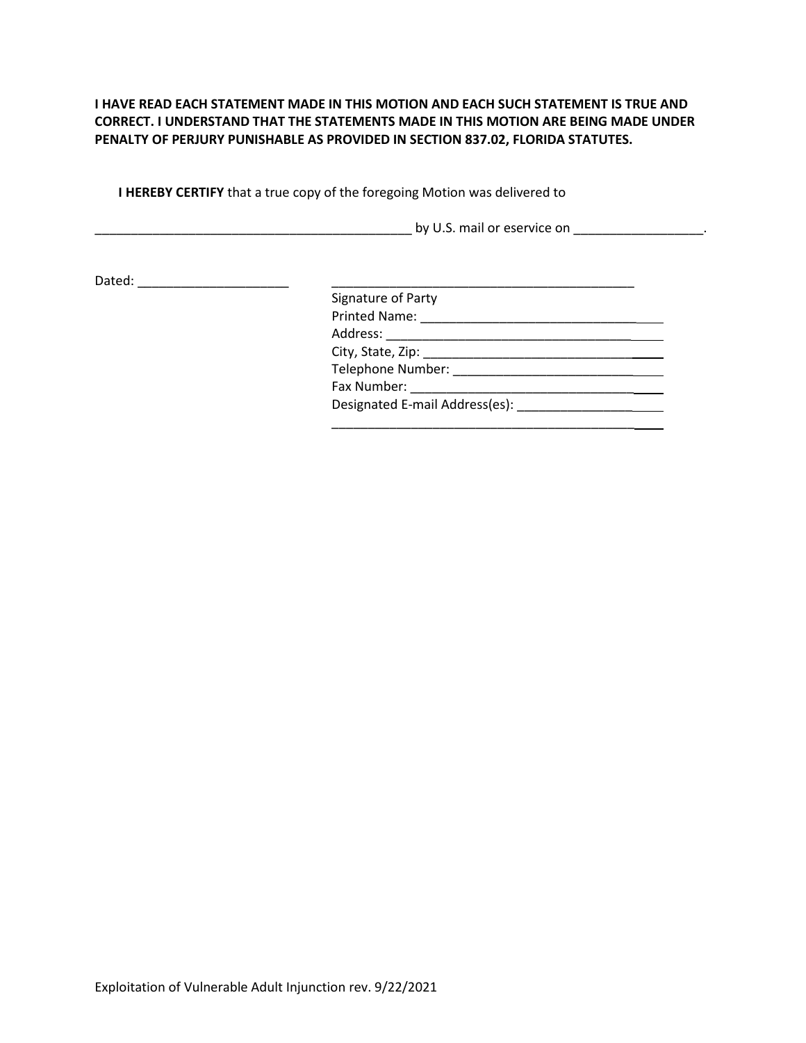### **I HAVE READ EACH STATEMENT MADE IN THIS MOTION AND EACH SUCH STATEMENT IS TRUE AND CORRECT. I UNDERSTAND THAT THE STATEMENTS MADE IN THIS MOTION ARE BEING MADE UNDER PENALTY OF PERJURY PUNISHABLE AS PROVIDED IN SECTION 837.02, FLORIDA [STATUTES.](https://advance.lexis.com/document/?pdmfid=1000516&crid=7d913cf6-7a25-4a2f-a182-f6ce1abaaf7e&pddocfullpath=%2Fshared%2Fdocument%2Fstatutes-legislation%2Furn%3AcontentItem%3A6268-2XF1-DYB7-W4WX-00000-00&pdtocnodeidentifier=AAFAAGAAJ&ecomp=_x65kkk&prid=a69a4817-f074-4299-8fd6-8cd02bc3ebee)**

**I HEREBY CERTIFY** that a true copy of the foregoing Motion was delivered to

\_\_\_\_\_\_\_\_\_\_\_\_\_\_\_\_\_\_\_\_\_\_\_\_\_\_\_\_\_\_\_\_\_\_\_\_\_\_\_\_\_\_\_\_ by U.S. mail or eservice on \_\_\_\_\_\_\_\_\_\_\_\_\_\_\_\_\_\_.

\_\_\_\_\_\_\_\_\_\_\_\_\_\_\_\_\_\_\_\_\_\_\_\_\_\_\_\_\_\_\_\_\_\_\_\_\_\_\_\_\_\_ Dated: \_\_\_\_\_\_\_\_\_\_\_\_\_\_\_\_\_\_\_\_\_

| Signature of Party             |
|--------------------------------|
|                                |
|                                |
|                                |
|                                |
| Fax Number:                    |
| Designated E-mail Address(es): |
|                                |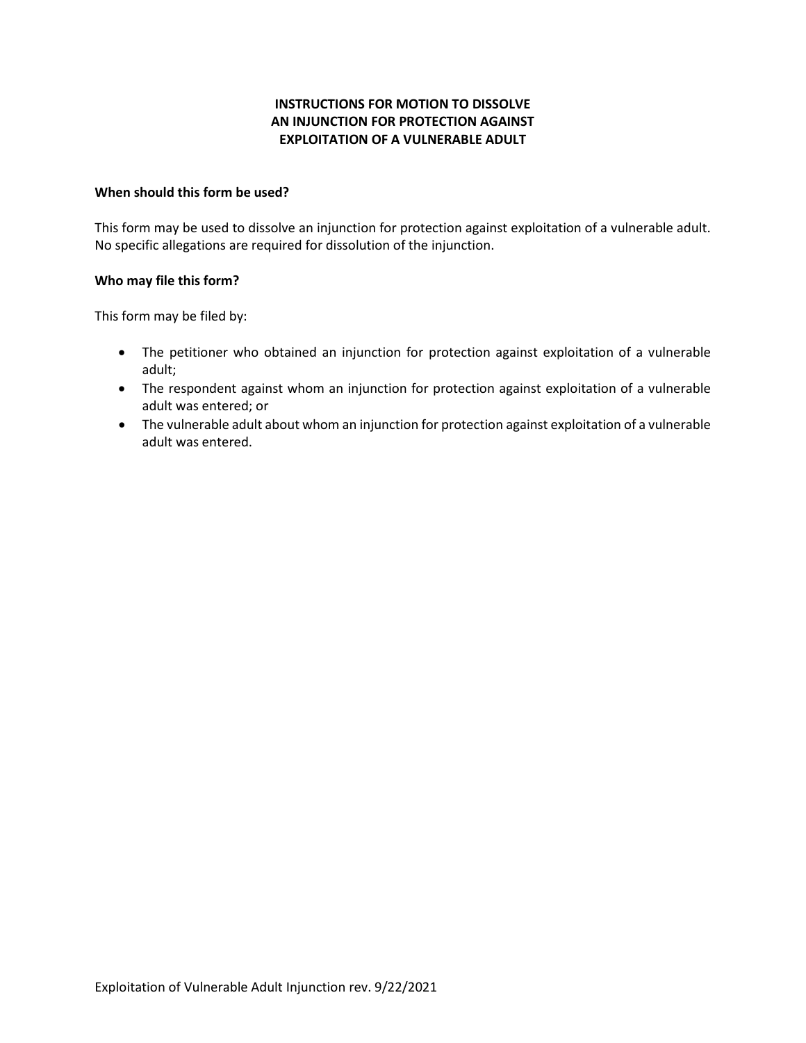# **INSTRUCTIONS FOR MOTION TO DISSOLVE EXPLOITATION OF A VULNERABLE ADULT AN INJUNCTION FOR PROTECTION AGAINST**

#### **When should this form be used?**

This form may be used to dissolve an injunction for protection against exploitation of a vulnerable adult. No specific allegations are required for dissolution of the injunction.

# **Who may file this form?**

This form may be filed by:

- • The petitioner who obtained an injunction for protection against exploitation of a vulnerable adult;
- The respondent against whom an injunction for protection against exploitation of a vulnerable adult was entered; or
- • The vulnerable adult about whom an injunction for protection against exploitation of a vulnerable adult was entered.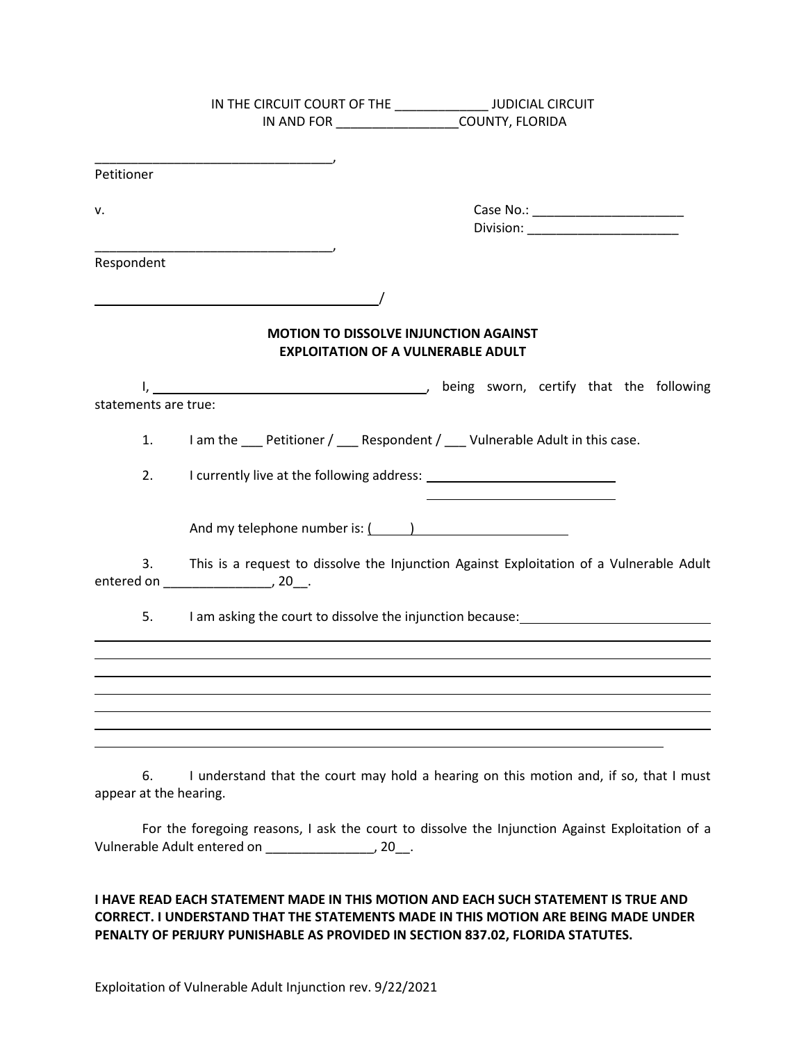|                      | IN THE CIRCUIT COURT OF THE _________________ JUDICIAL CIRCUIT                                                                                                                                                                       |
|----------------------|--------------------------------------------------------------------------------------------------------------------------------------------------------------------------------------------------------------------------------------|
|                      | IN AND FOR ___________________COUNTY, FLORIDA                                                                                                                                                                                        |
|                      |                                                                                                                                                                                                                                      |
| Petitioner           | <u> 1989 - Johann Barbara, martin amerikan ba</u>                                                                                                                                                                                    |
|                      |                                                                                                                                                                                                                                      |
| ٧.                   |                                                                                                                                                                                                                                      |
|                      | Division: Division:                                                                                                                                                                                                                  |
| Respondent           | <u> 1989 - Johann John Stone, markin amerikan basar dan berkembang di banyak di banyak di banyak di banyak di banyak di banyak di banyak di banyak di banyak di banyak di banyak di banyak di banyak di banyak di banyak di bany</u> |
|                      | <u> 2008 - Jan James Barnett, fransk politik (d. 1888)</u>                                                                                                                                                                           |
|                      |                                                                                                                                                                                                                                      |
|                      | <b>MOTION TO DISSOLVE INJUNCTION AGAINST</b><br><b>EXPLOITATION OF A VULNERABLE ADULT</b>                                                                                                                                            |
|                      |                                                                                                                                                                                                                                      |
| statements are true: |                                                                                                                                                                                                                                      |
| 1.                   | I am the ___ Petitioner / ___ Respondent / ___ Vulnerable Adult in this case.                                                                                                                                                        |
| 2.                   | <u> 1990 - Johann Barbara, martin amerikan personal (</u>                                                                                                                                                                            |
|                      | And my telephone number is: ( )                                                                                                                                                                                                      |
| 3.                   | This is a request to dissolve the Injunction Against Exploitation of a Vulnerable Adult                                                                                                                                              |
| 5.                   | I am asking the court to dissolve the injunction because: example and the country of the state of the state of                                                                                                                       |
|                      |                                                                                                                                                                                                                                      |
|                      |                                                                                                                                                                                                                                      |
|                      |                                                                                                                                                                                                                                      |
|                      |                                                                                                                                                                                                                                      |
|                      | $\mathcal{L}$ and the state of the state of the state of the state of the state of the state of the state of the state of the state of the state of the state of the state of the state of the state of the state of the state of    |

6. I understand that the court may hold a hearing on this motion and, if so, that I must appear at the hearing.

For the foregoing reasons, I ask the court to dissolve the Injunction Against Exploitation of a Vulnerable Adult entered on \_\_\_\_\_\_\_\_\_\_\_\_\_\_\_, 20\_\_.

#### **I HAVE READ EACH STATEMENT MADE IN THIS MOTION AND EACH SUCH STATEMENT IS TRUE AND CORRECT. I UNDERSTAND THAT THE STATEMENTS MADE IN THIS MOTION ARE BEING MADE UNDER PENALTY OF PERJURY PUNISHABLE AS PROVIDED IN SECTION 837.02, FLORIDA [STATUTES.](https://advance.lexis.com/document/?pdmfid=1000516&crid=7d913cf6-7a25-4a2f-a182-f6ce1abaaf7e&pddocfullpath=%2Fshared%2Fdocument%2Fstatutes-legislation%2Furn%3AcontentItem%3A6268-2XF1-DYB7-W4WX-00000-00&pdtocnodeidentifier=AAFAAGAAJ&ecomp=_x65kkk&prid=a69a4817-f074-4299-8fd6-8cd02bc3ebee)**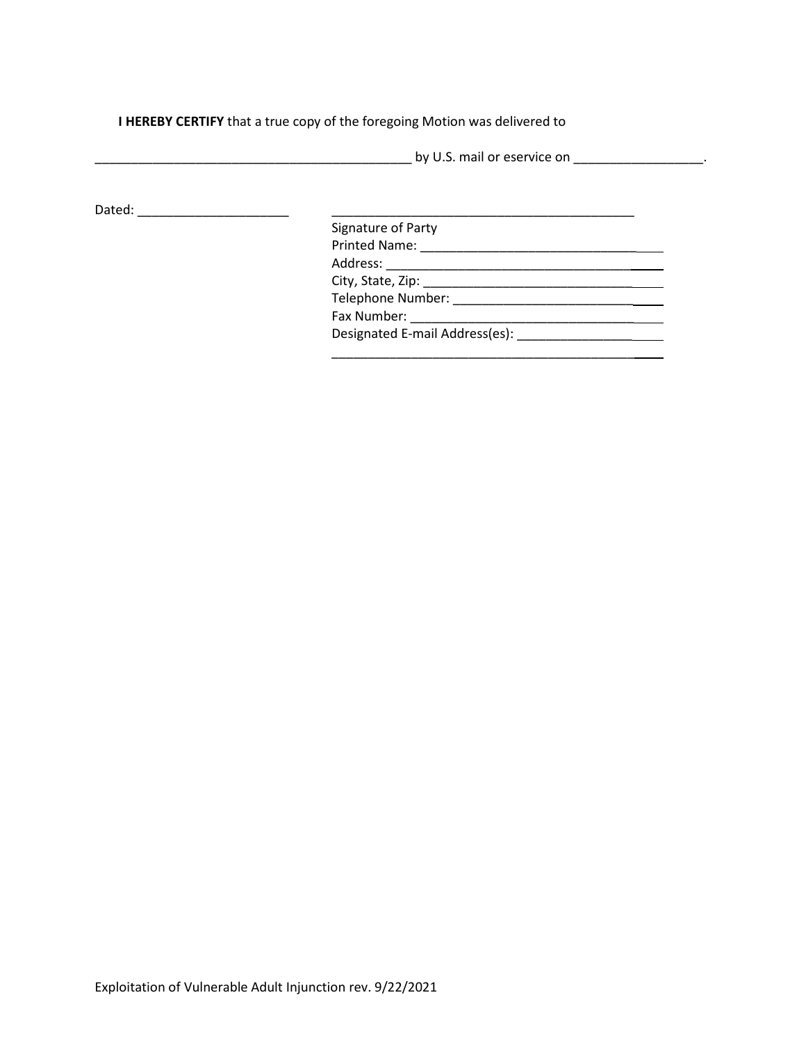**I HEREBY CERTIFY** that a true copy of the foregoing Motion was delivered to

|        | by U.S. mail or eservice on the control of the control of the control of the control of the control of the control of the control of the control of the control of the control of the control of the control of the control of |  |
|--------|--------------------------------------------------------------------------------------------------------------------------------------------------------------------------------------------------------------------------------|--|
| Dated: |                                                                                                                                                                                                                                |  |
|        | Signature of Party                                                                                                                                                                                                             |  |
|        | <b>Printed Name:</b>                                                                                                                                                                                                           |  |
|        |                                                                                                                                                                                                                                |  |
|        |                                                                                                                                                                                                                                |  |
|        | Telephone Number: National Property of the Contract of the Contract of the Contract of the Contract of the Contract of the Contract of the Contract of the Contract of the Contract of the Contract of the Contract of the Con |  |
|        | Fax Number: The Contract of the Contract of the Contract of the Contract of the Contract of the Contract of the Contract of the Contract of the Contract of the Contract of the Contract of the Contract of the Contract of th |  |
|        | Designated E-mail Address(es):                                                                                                                                                                                                 |  |
|        |                                                                                                                                                                                                                                |  |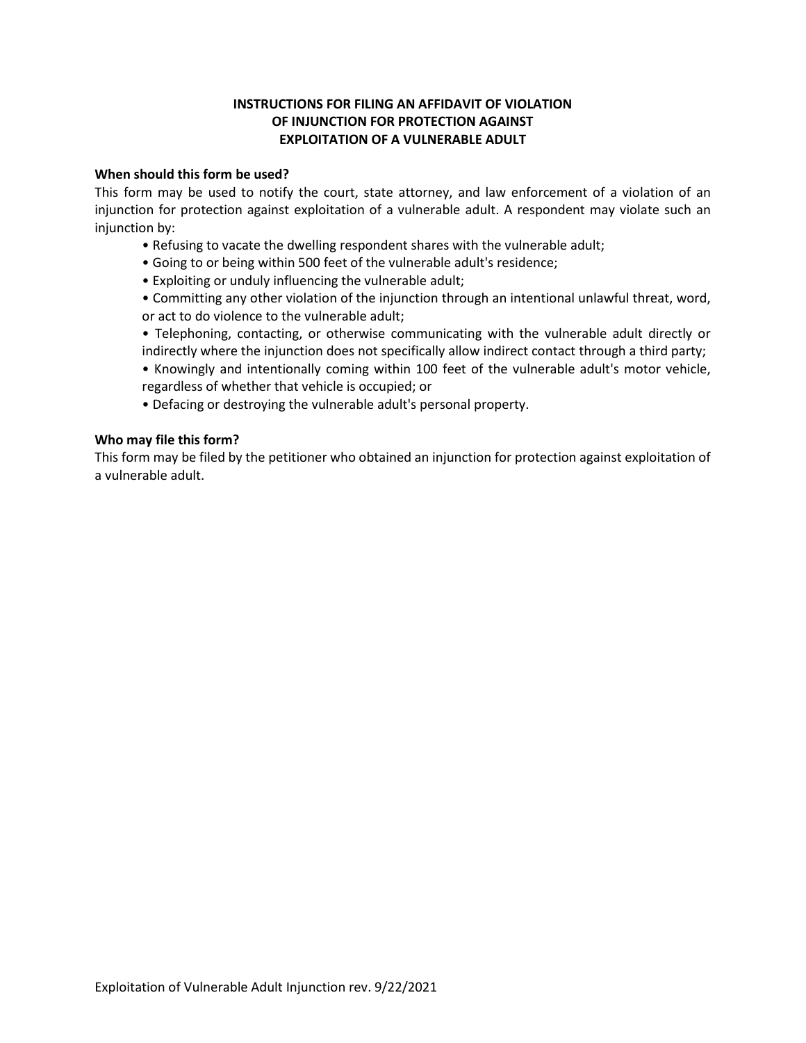### **INSTRUCTIONS FOR FILING AN AFFIDAVIT OF VIOLATION OF INJUNCTION FOR PROTECTION AGAINST EXPLOITATION OF A VULNERABLE ADULT**

#### **When should this form be used?**

 This form may be used to notify the court, state attorney, and law enforcement of a violation of an injunction for protection against exploitation of a vulnerable adult. A respondent may violate such an injunction by:

- Refusing to vacate the dwelling respondent shares with the vulnerable adult;
- Going to or being within 500 feet of the vulnerable adult's residence;
- Exploiting or unduly influencing the vulnerable adult;
- • Committing any other violation of the injunction through an intentional unlawful threat, word, or act to do violence to the vulnerable adult;
- Telephoning, contacting, or otherwise communicating with the vulnerable adult directly or indirectly where the injunction does not specifically allow indirect contact through a third party;
- regardless of whether that vehicle is occupied; or • Knowingly and intentionally coming within 100 feet of the vulnerable adult's motor vehicle,
- Defacing or destroying the vulnerable adult's personal property.

#### **Who may file this form?**

 This form may be filed by the petitioner who obtained an injunction for protection against exploitation of a vulnerable adult.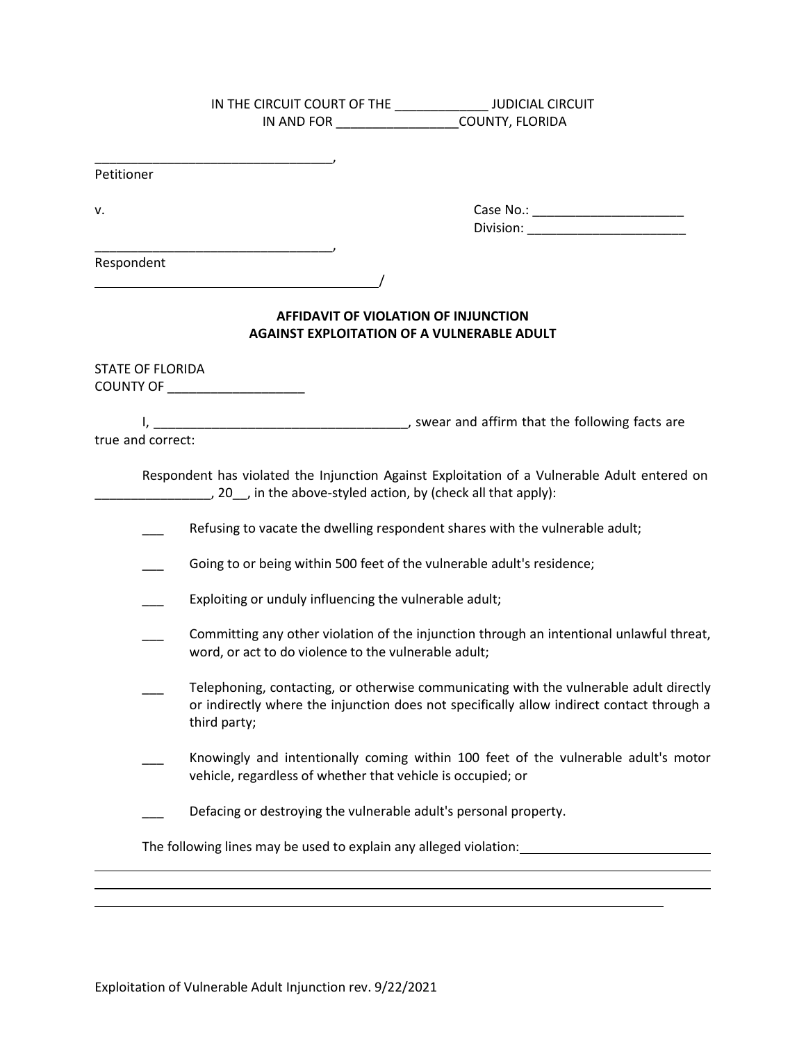|                         | IN THE CIRCUIT COURT OF THE _________________ JUDICIAL CIRCUIT                                                                                                                                      |
|-------------------------|-----------------------------------------------------------------------------------------------------------------------------------------------------------------------------------------------------|
|                         | IN AND FOR ____________________COUNTY, FLORIDA                                                                                                                                                      |
|                         |                                                                                                                                                                                                     |
|                         |                                                                                                                                                                                                     |
| Petitioner              |                                                                                                                                                                                                     |
|                         |                                                                                                                                                                                                     |
| ٧.                      | Case No.: _________________________                                                                                                                                                                 |
|                         |                                                                                                                                                                                                     |
|                         |                                                                                                                                                                                                     |
| Respondent              |                                                                                                                                                                                                     |
|                         |                                                                                                                                                                                                     |
|                         | AFFIDAVIT OF VIOLATION OF INJUNCTION<br><b>AGAINST EXPLOITATION OF A VULNERABLE ADULT</b>                                                                                                           |
| <b>STATE OF FLORIDA</b> |                                                                                                                                                                                                     |
|                         | COUNTY OF _____________________                                                                                                                                                                     |
|                         |                                                                                                                                                                                                     |
|                         |                                                                                                                                                                                                     |
| true and correct:       |                                                                                                                                                                                                     |
|                         |                                                                                                                                                                                                     |
|                         | Respondent has violated the Injunction Against Exploitation of a Vulnerable Adult entered on<br>$\Box$ , 20 $\Box$ , in the above-styled action, by (check all that apply):                         |
|                         | Refusing to vacate the dwelling respondent shares with the vulnerable adult;                                                                                                                        |
|                         | Going to or being within 500 feet of the vulnerable adult's residence;                                                                                                                              |
|                         | Exploiting or unduly influencing the vulnerable adult;                                                                                                                                              |
|                         | Committing any other violation of the injunction through an intentional unlawful threat,<br>word, or act to do violence to the vulnerable adult;                                                    |
|                         | Telephoning, contacting, or otherwise communicating with the vulnerable adult directly<br>or indirectly where the injunction does not specifically allow indirect contact through a<br>third party; |
|                         | Knowingly and intentionally coming within 100 feet of the vulnerable adult's motor<br>vehicle, regardless of whether that vehicle is occupied; or                                                   |
|                         | Defacing or destroying the vulnerable adult's personal property.                                                                                                                                    |
|                         | The following lines may be used to explain any alleged violation: The following lines may be used                                                                                                   |
|                         |                                                                                                                                                                                                     |
|                         |                                                                                                                                                                                                     |